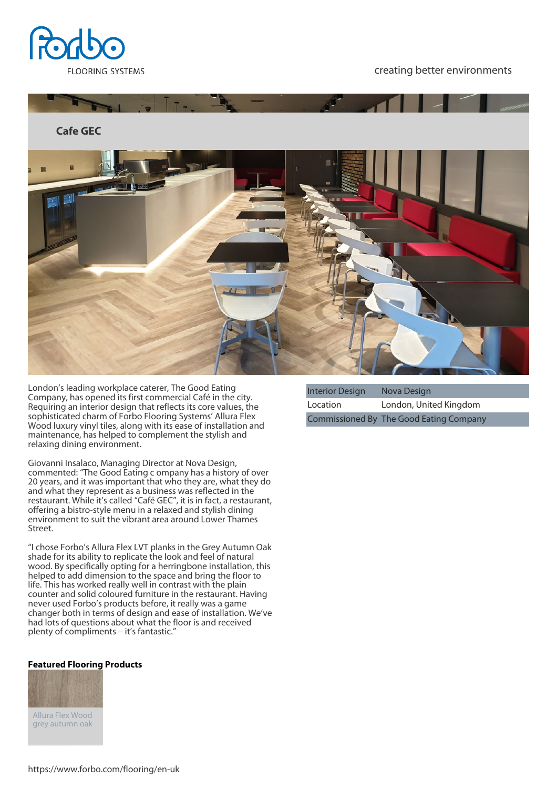

creating better environments



London's leading workplace caterer, The Good Eating Company, has opened its first commercial Café in the city. Requiring an interior design that reflects its core values, the sophisticated charm of Forbo Flooring Systems' Allura Flex Wood luxury vinyl tiles, along with its ease of installation and maintenance, has helped to complement the stylish and relaxing dining environment.

Giovanni Insalaco, Managing Director at Nova Design, commented: "The Good Eating c ompany has a history of over 20 years, and it was important that who they are, what they do and what they represent as a business was reflected in the restaurant. While it's called "Café GEC", it is in fact, a restaurant, offering a bistro-style menu in a relaxed and stylish dining environment to suit the vibrant area around Lower Thames Street.

"I chose Forbo's Allura Flex LVT planks in the Grey Autumn Oak shade for its ability to replicate the look and feel of natural wood. By specifically opting for a herringbone installation, this helped to add dimension to the space and bring the floor to life. This has worked really well in contrast with the plain counter and solid coloured furniture in the restaurant. Having never used Forbo's products before, it really was a game changer both in terms of design and ease of installation. We've had lots of questions about what the floor is and received plenty of compliments – it's fantastic."

## **Featured Flooring Products**



| <b>Interior Design</b> | Nova Design                             |
|------------------------|-----------------------------------------|
| Location               | London, United Kingdom                  |
|                        | Commissioned By The Good Eating Company |